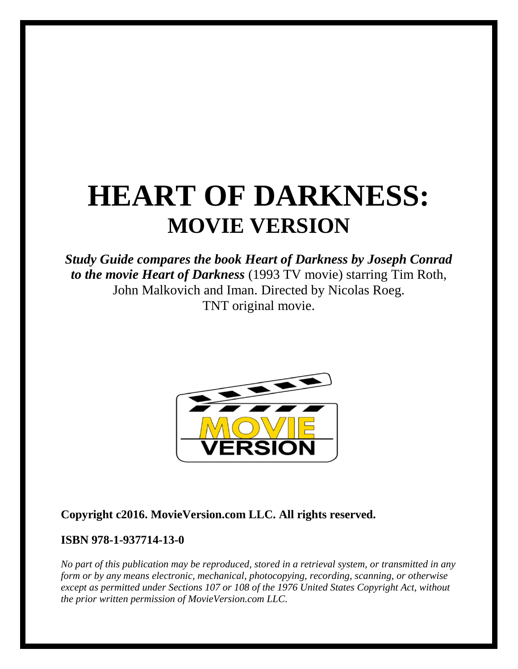# **HEART OF DARKNESS: MOVIE VERSION**

# *Study Guide compares the book Heart of Darkness by Joseph Conrad to the movie Heart of Darkness* (1993 TV movie) starring Tim Roth, John Malkovich and Iman. Directed by Nicolas Roeg. TNT original movie.



### **Copyright c2016. MovieVersion.com LLC. All rights reserved.**

#### **ISBN 978-1-937714-13-0**

*No part of this publication may be reproduced, stored in a retrieval system, or transmitted in any form or by any means electronic, mechanical, photocopying, recording, scanning, or otherwise except as permitted under Sections 107 or 108 of the 1976 United States Copyright Act, without the prior written permission of MovieVersion.com LLC.*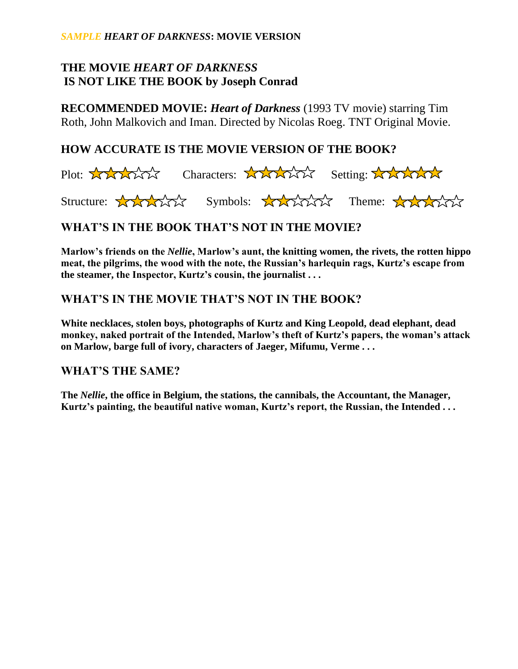## **THE MOVIE** *HEART OF DARKNESS* **IS NOT LIKE THE BOOK by Joseph Conrad**

**RECOMMENDED MOVIE:** *Heart of Darkness* (1993 TV movie) starring Tim Roth, John Malkovich and Iman. Directed by Nicolas Roeg. TNT Original Movie.

#### **HOW ACCURATE IS THE MOVIE VERSION OF THE BOOK?**



## **WHAT'S IN THE BOOK THAT'S NOT IN THE MOVIE?**

**Marlow's friends on the** *Nellie***, Marlow's aunt, the knitting women, the rivets, the rotten hippo meat, the pilgrims, the wood with the note, the Russian's harlequin rags, Kurtz's escape from the steamer, the Inspector, Kurtz's cousin, the journalist . . .**

#### **WHAT'S IN THE MOVIE THAT'S NOT IN THE BOOK?**

**White necklaces, stolen boys, photographs of Kurtz and King Leopold, dead elephant, dead monkey, naked portrait of the Intended, Marlow's theft of Kurtz's papers, the woman's attack on Marlow, barge full of ivory, characters of Jaeger, Mifumu, Verme . . .**

#### **WHAT'S THE SAME?**

**The** *Nellie***, the office in Belgium, the stations, the cannibals, the Accountant, the Manager, Kurtz's painting, the beautiful native woman, Kurtz's report, the Russian, the Intended . . .**